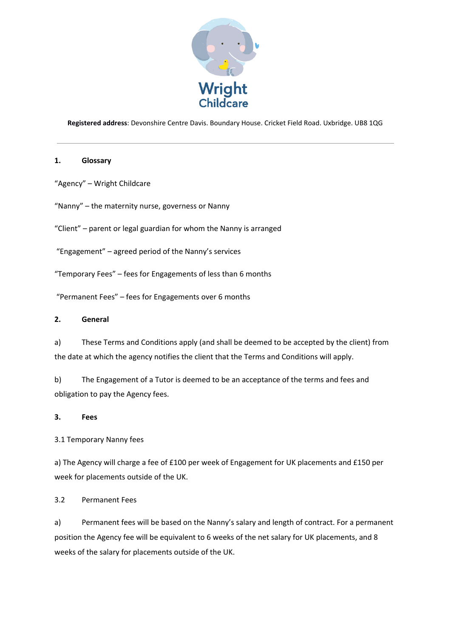

**Registered address**: Devonshire Centre Davis. Boundary House. Cricket Field Road. Uxbridge. UB8 1QG

## **1. Glossary**

"Agency" – Wright Childcare

"Nanny" – the maternity nurse, governess or Nanny

"Client" – parent or legal guardian for whom the Nanny is arranged

"Engagement" – agreed period of the Nanny's services

"Temporary Fees" – fees for Engagements of less than 6 months

"Permanent Fees" – fees for Engagements over 6 months

## **2. General**

a) These Terms and Conditions apply (and shall be deemed to be accepted by the client) from the date at which the agency notifies the client that the Terms and Conditions will apply.

b) The Engagement of a Tutor is deemed to be an acceptance of the terms and fees and obligation to pay the Agency fees.

## **3. Fees**

3.1 Temporary Nanny fees

a) The Agency will charge a fee of £100 per week of Engagement for UK placements and £150 per week for placements outside of the UK.

3.2 Permanent Fees

a) Permanent fees will be based on the Nanny's salary and length of contract. For a permanent position the Agency fee will be equivalent to 6 weeks of the net salary for UK placements, and 8 weeks of the salary for placements outside of the UK.